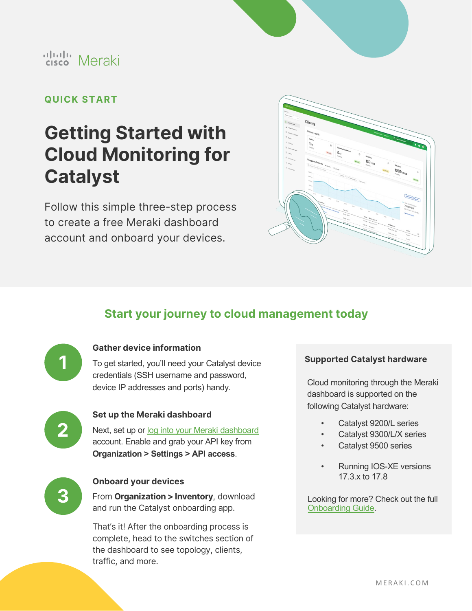

## ululu Meraki

### **QUICK START**

# **Getting Started with Cloud Monitoring for Catalyst**

Follow this simple three-step process to create a free Meraki dashboard account and onboard your devices.



### **Start your journey to cloud management today**



### **Gather device information**

To get started, you'll need your Catalyst device credentials (SSH username and password, device IP addresses and ports) handy.



### **Set up the Meraki dashboard**

Next, set up or [log into your Meraki dashboard](http://dashboard.meraki.com/)  account. Enable and grab your API key from **Organization > Settings > API access**.



### **Onboard your devices**

From **Organization > Inventory**, download and run the Catalyst onboarding app.

That's it! After the onboarding process is complete, head to the switches section of the dashboard to see topology, clients, traffic, and more.

#### **Supported Catalyst hardware**

Cloud monitoring through the Meraki dashboard is supported on the following Catalyst hardware:

- Catalyst 9200/L series
- Catalyst 9300/L/X series
- Catalyst 9500 series
- Running IOS-XE versions 17.3.x to 17.8

Looking for more? Check out the full [Onboarding Guide.](https://documentation.meraki.com/Cloud_Monitoring_for_Catalyst/Onboarding)